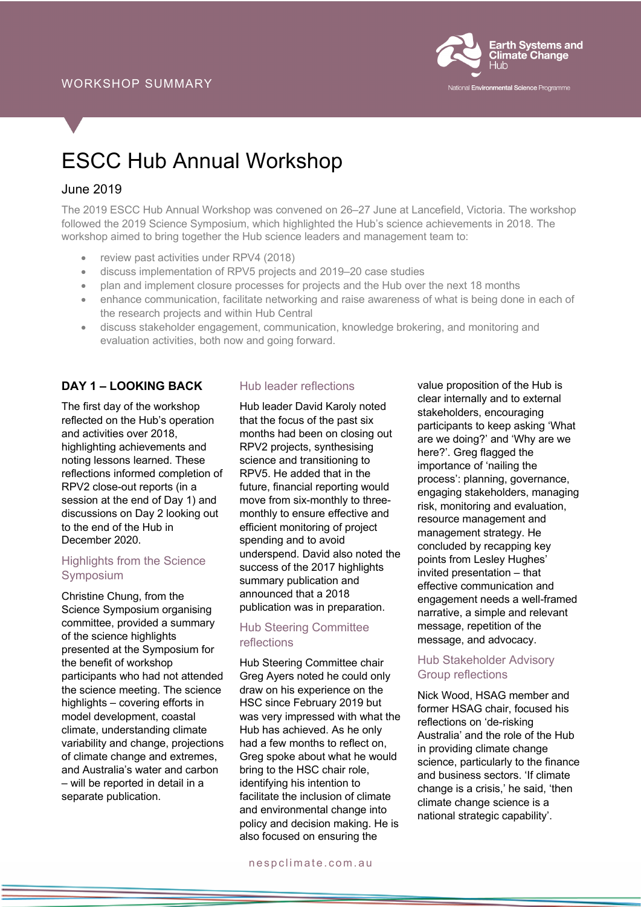

# ESCC Hub Annual Workshop

## June 2019

The 2019 ESCC Hub Annual Workshop was convened on 26–27 June at Lancefield, Victoria. The workshop followed the 2019 Science Symposium, which highlighted the Hub's science achievements in 2018. The workshop aimed to bring together the Hub science leaders and management team to:

- review past activities under RPV4 (2018)
- discuss implementation of RPV5 projects and 2019–20 case studies
- plan and implement closure processes for projects and the Hub over the next 18 months
- enhance communication, facilitate networking and raise awareness of what is being done in each of the research projects and within Hub Central
- discuss stakeholder engagement, communication, knowledge brokering, and monitoring and evaluation activities, both now and going forward.

## **DAY 1 – LOOKING BACK**

The first day of the workshop reflected on the Hub's operation and activities over 2018, highlighting achievements and noting lessons learned. These reflections informed completion of RPV2 close-out reports (in a session at the end of Day 1) and discussions on Day 2 looking out to the end of the Hub in December 2020.

## Highlights from the Science Symposium

Christine Chung, from the Science Symposium organising committee, provided a summary of the science highlights presented at the Symposium for the benefit of workshop participants who had not attended the science meeting. The science highlights – covering efforts in model development, coastal climate, understanding climate variability and change, projections of climate change and extremes, and Australia's water and carbon – will be reported in detail in a separate publication.

#### Hub leader reflections

Hub leader David Karoly noted that the focus of the past six months had been on closing out RPV2 projects, synthesising science and transitioning to RPV5. He added that in the future, financial reporting would move from six-monthly to threemonthly to ensure effective and efficient monitoring of project spending and to avoid underspend. David also noted the success of the 2017 highlights summary publication and announced that a 2018 publication was in preparation.

## Hub Steering Committee reflections

Hub Steering Committee chair Greg Ayers noted he could only draw on his experience on the HSC since February 2019 but was very impressed with what the Hub has achieved. As he only had a few months to reflect on, Greg spoke about what he would bring to the HSC chair role, identifying his intention to facilitate the inclusion of climate and environmental change into policy and decision making. He is also focused on ensuring the

value proposition of the Hub is clear internally and to external stakeholders, encouraging participants to keep asking 'What are we doing?' and 'Why are we here?'. Greg flagged the importance of 'nailing the process': planning, governance, engaging stakeholders, managing risk, monitoring and evaluation, resource management and management strategy. He concluded by recapping key points from Lesley Hughes' invited presentation – that effective communication and engagement needs a well-framed narrative, a simple and relevant message, repetition of the message, and advocacy.

#### Hub Stakeholder Advisory Group reflections

Nick Wood, HSAG member and former HSAG chair, focused his reflections on 'de-risking Australia' and the role of the Hub in providing climate change science, particularly to the finance and business sectors. 'If climate change is a crisis,' he said, 'then climate change science is a national strategic capability'.